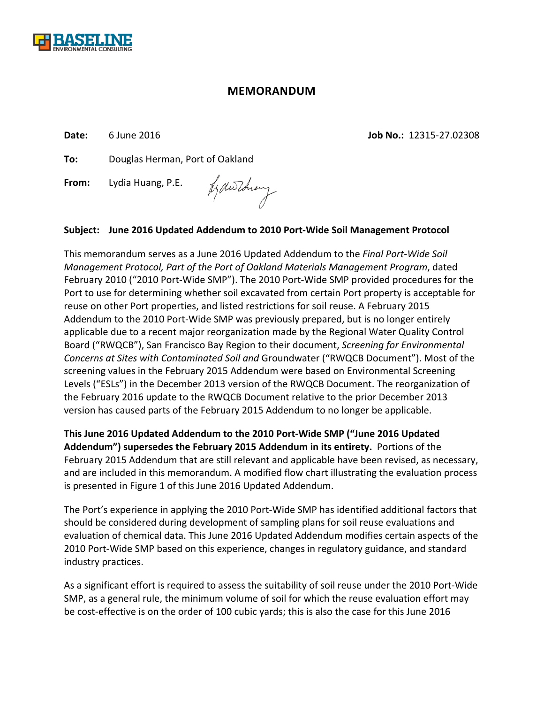

## **MEMORANDUM**

**Date:** 6 June 2016 **Job No.:** 12315‐27.02308

**To:** Douglas Herman, Port of Oakland

**From:** Lydia Huang, P.E.

Jedwithing

## **Subject: June 2016 Updated Addendum to 2010 Port‐Wide Soil Management Protocol**

This memorandum serves as a June 2016 Updated Addendum to the *Final Port‐Wide Soil Management Protocol, Part of the Port of Oakland Materials Management Program*, dated February 2010 ("2010 Port‐Wide SMP"). The 2010 Port‐Wide SMP provided procedures for the Port to use for determining whether soil excavated from certain Port property is acceptable for reuse on other Port properties, and listed restrictions for soil reuse. A February 2015 Addendum to the 2010 Port‐Wide SMP was previously prepared, but is no longer entirely applicable due to a recent major reorganization made by the Regional Water Quality Control Board ("RWQCB"), San Francisco Bay Region to their document, *Screening for Environmental Concerns at Sites with Contaminated Soil and* Groundwater ("RWQCB Document"). Most of the screening values in the February 2015 Addendum were based on Environmental Screening Levels ("ESLs") in the December 2013 version of the RWQCB Document. The reorganization of the February 2016 update to the RWQCB Document relative to the prior December 2013 version has caused parts of the February 2015 Addendum to no longer be applicable.

**This June 2016 Updated Addendum to the 2010 Port‐Wide SMP ("June 2016 Updated Addendum") supersedes the February 2015 Addendum in its entirety.** Portions of the February 2015 Addendum that are still relevant and applicable have been revised, as necessary, and are included in this memorandum. A modified flow chart illustrating the evaluation process is presented in Figure 1 of this June 2016 Updated Addendum.

The Port's experience in applying the 2010 Port‐Wide SMP has identified additional factors that should be considered during development of sampling plans for soil reuse evaluations and evaluation of chemical data. This June 2016 Updated Addendum modifies certain aspects of the 2010 Port‐Wide SMP based on this experience, changes in regulatory guidance, and standard industry practices.

As a significant effort is required to assess the suitability of soil reuse under the 2010 Port‐Wide SMP, as a general rule, the minimum volume of soil for which the reuse evaluation effort may be cost-effective is on the order of 100 cubic yards; this is also the case for this June 2016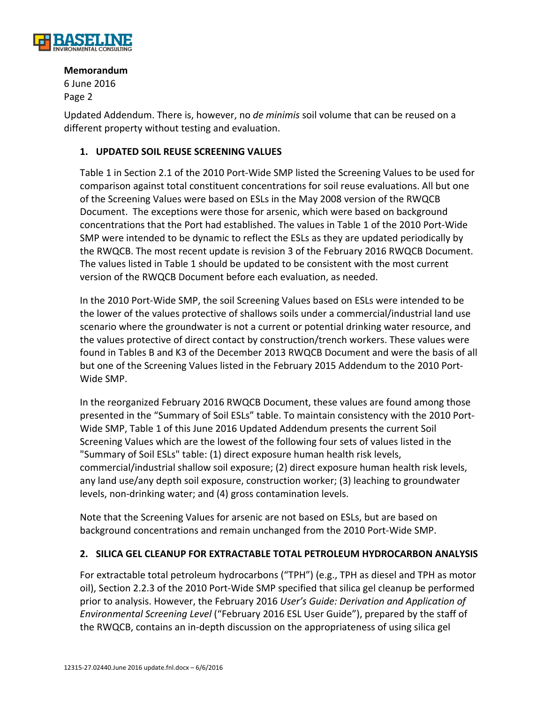

6 June 2016 Page 2

Updated Addendum. There is, however, no *de minimis* soil volume that can be reused on a different property without testing and evaluation.

### **1. UPDATED SOIL REUSE SCREENING VALUES**

Table 1 in Section 2.1 of the 2010 Port‐Wide SMP listed the Screening Values to be used for comparison against total constituent concentrations for soil reuse evaluations. All but one of the Screening Values were based on ESLs in the May 2008 version of the RWQCB Document. The exceptions were those for arsenic, which were based on background concentrations that the Port had established. The values in Table 1 of the 2010 Port‐Wide SMP were intended to be dynamic to reflect the ESLs as they are updated periodically by the RWQCB. The most recent update is revision 3 of the February 2016 RWQCB Document. The values listed in Table 1 should be updated to be consistent with the most current version of the RWQCB Document before each evaluation, as needed.

In the 2010 Port‐Wide SMP, the soil Screening Values based on ESLs were intended to be the lower of the values protective of shallows soils under a commercial/industrial land use scenario where the groundwater is not a current or potential drinking water resource, and the values protective of direct contact by construction/trench workers. These values were found in Tables B and K3 of the December 2013 RWQCB Document and were the basis of all but one of the Screening Values listed in the February 2015 Addendum to the 2010 Port‐ Wide SMP.

In the reorganized February 2016 RWQCB Document, these values are found among those presented in the "Summary of Soil ESLs" table. To maintain consistency with the 2010 Port‐ Wide SMP, Table 1 of this June 2016 Updated Addendum presents the current Soil Screening Values which are the lowest of the following four sets of values listed in the "Summary of Soil ESLs" table: (1) direct exposure human health risk levels, commercial/industrial shallow soil exposure; (2) direct exposure human health risk levels, any land use/any depth soil exposure, construction worker; (3) leaching to groundwater levels, non‐drinking water; and (4) gross contamination levels.

Note that the Screening Values for arsenic are not based on ESLs, but are based on background concentrations and remain unchanged from the 2010 Port‐Wide SMP.

## **2. SILICA GEL CLEANUP FOR EXTRACTABLE TOTAL PETROLEUM HYDROCARBON ANALYSIS**

For extractable total petroleum hydrocarbons ("TPH") (e.g., TPH as diesel and TPH as motor oil), Section 2.2.3 of the 2010 Port‐Wide SMP specified that silica gel cleanup be performed prior to analysis. However, the February 2016 *User's Guide: Derivation and Application of Environmental Screening Level* ("February 2016 ESL User Guide"), prepared by the staff of the RWQCB, contains an in‐depth discussion on the appropriateness of using silica gel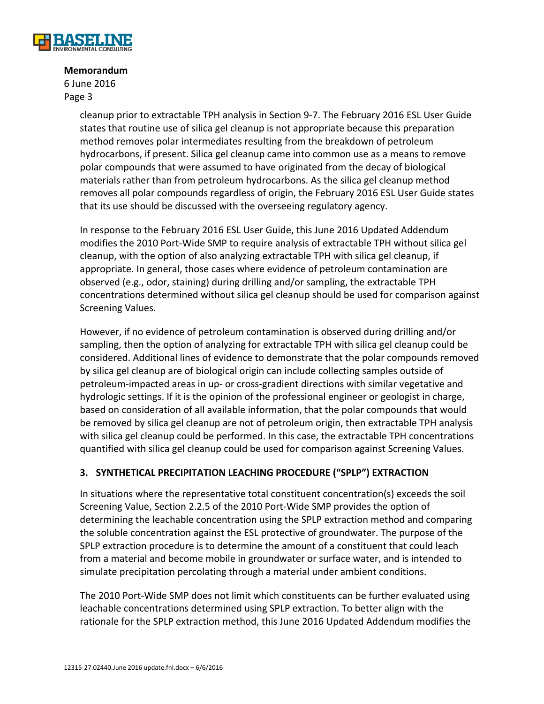

6 June 2016 Page 3

> cleanup prior to extractable TPH analysis in Section 9‐7. The February 2016 ESL User Guide states that routine use of silica gel cleanup is not appropriate because this preparation method removes polar intermediates resulting from the breakdown of petroleum hydrocarbons, if present. Silica gel cleanup came into common use as a means to remove polar compounds that were assumed to have originated from the decay of biological materials rather than from petroleum hydrocarbons. As the silica gel cleanup method removes all polar compounds regardless of origin, the February 2016 ESL User Guide states that its use should be discussed with the overseeing regulatory agency.

In response to the February 2016 ESL User Guide, this June 2016 Updated Addendum modifies the 2010 Port‐Wide SMP to require analysis of extractable TPH without silica gel cleanup, with the option of also analyzing extractable TPH with silica gel cleanup, if appropriate. In general, those cases where evidence of petroleum contamination are observed (e.g., odor, staining) during drilling and/or sampling, the extractable TPH concentrations determined without silica gel cleanup should be used for comparison against Screening Values.

However, if no evidence of petroleum contamination is observed during drilling and/or sampling, then the option of analyzing for extractable TPH with silica gel cleanup could be considered. Additional lines of evidence to demonstrate that the polar compounds removed by silica gel cleanup are of biological origin can include collecting samples outside of petroleum‐impacted areas in up‐ or cross‐gradient directions with similar vegetative and hydrologic settings. If it is the opinion of the professional engineer or geologist in charge, based on consideration of all available information, that the polar compounds that would be removed by silica gel cleanup are not of petroleum origin, then extractable TPH analysis with silica gel cleanup could be performed. In this case, the extractable TPH concentrations quantified with silica gel cleanup could be used for comparison against Screening Values.

## **3. SYNTHETICAL PRECIPITATION LEACHING PROCEDURE ("SPLP") EXTRACTION**

In situations where the representative total constituent concentration(s) exceeds the soil Screening Value, Section 2.2.5 of the 2010 Port‐Wide SMP provides the option of determining the leachable concentration using the SPLP extraction method and comparing the soluble concentration against the ESL protective of groundwater. The purpose of the SPLP extraction procedure is to determine the amount of a constituent that could leach from a material and become mobile in groundwater or surface water, and is intended to simulate precipitation percolating through a material under ambient conditions.

The 2010 Port‐Wide SMP does not limit which constituents can be further evaluated using leachable concentrations determined using SPLP extraction. To better align with the rationale for the SPLP extraction method, this June 2016 Updated Addendum modifies the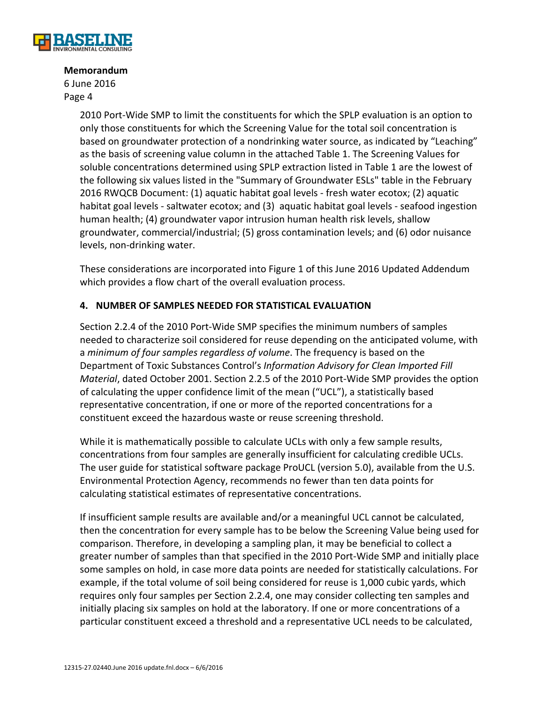

6 June 2016 Page 4

> 2010 Port‐Wide SMP to limit the constituents for which the SPLP evaluation is an option to only those constituents for which the Screening Value for the total soil concentration is based on groundwater protection of a nondrinking water source, as indicated by "Leaching" as the basis of screening value column in the attached Table 1. The Screening Values for soluble concentrations determined using SPLP extraction listed in Table 1 are the lowest of the following six values listed in the "Summary of Groundwater ESLs" table in the February 2016 RWQCB Document: (1) aquatic habitat goal levels ‐ fresh water ecotox; (2) aquatic habitat goal levels ‐ saltwater ecotox; and (3) aquatic habitat goal levels ‐ seafood ingestion human health; (4) groundwater vapor intrusion human health risk levels, shallow groundwater, commercial/industrial; (5) gross contamination levels; and (6) odor nuisance levels, non‐drinking water.

These considerations are incorporated into Figure 1 of this June 2016 Updated Addendum which provides a flow chart of the overall evaluation process.

## **4. NUMBER OF SAMPLES NEEDED FOR STATISTICAL EVALUATION**

Section 2.2.4 of the 2010 Port‐Wide SMP specifies the minimum numbers of samples needed to characterize soil considered for reuse depending on the anticipated volume, with a *minimum of four samples regardless of volume*. The frequency is based on the Department of Toxic Substances Control's *Information Advisory for Clean Imported Fill Material*, dated October 2001. Section 2.2.5 of the 2010 Port‐Wide SMP provides the option of calculating the upper confidence limit of the mean ("UCL"), a statistically based representative concentration, if one or more of the reported concentrations for a constituent exceed the hazardous waste or reuse screening threshold.

While it is mathematically possible to calculate UCLs with only a few sample results, concentrations from four samples are generally insufficient for calculating credible UCLs. The user guide for statistical software package ProUCL (version 5.0), available from the U.S. Environmental Protection Agency, recommends no fewer than ten data points for calculating statistical estimates of representative concentrations.

If insufficient sample results are available and/or a meaningful UCL cannot be calculated, then the concentration for every sample has to be below the Screening Value being used for comparison. Therefore, in developing a sampling plan, it may be beneficial to collect a greater number of samples than that specified in the 2010 Port‐Wide SMP and initially place some samples on hold, in case more data points are needed for statistically calculations. For example, if the total volume of soil being considered for reuse is 1,000 cubic yards, which requires only four samples per Section 2.2.4, one may consider collecting ten samples and initially placing six samples on hold at the laboratory. If one or more concentrations of a particular constituent exceed a threshold and a representative UCL needs to be calculated,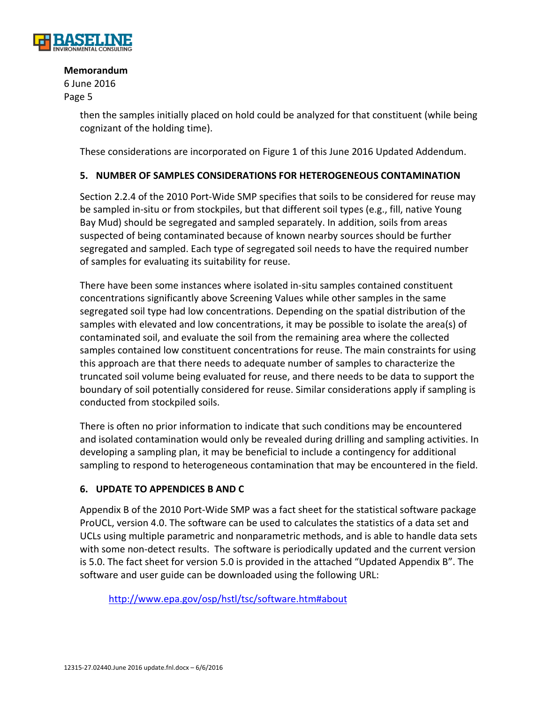

6 June 2016 Page 5

> then the samples initially placed on hold could be analyzed for that constituent (while being cognizant of the holding time).

These considerations are incorporated on Figure 1 of this June 2016 Updated Addendum.

## **5. NUMBER OF SAMPLES CONSIDERATIONS FOR HETEROGENEOUS CONTAMINATION**

Section 2.2.4 of the 2010 Port‐Wide SMP specifies that soils to be considered for reuse may be sampled in-situ or from stockpiles, but that different soil types (e.g., fill, native Young Bay Mud) should be segregated and sampled separately. In addition, soils from areas suspected of being contaminated because of known nearby sources should be further segregated and sampled. Each type of segregated soil needs to have the required number of samples for evaluating its suitability for reuse.

There have been some instances where isolated in‐situ samples contained constituent concentrations significantly above Screening Values while other samples in the same segregated soil type had low concentrations. Depending on the spatial distribution of the samples with elevated and low concentrations, it may be possible to isolate the area(s) of contaminated soil, and evaluate the soil from the remaining area where the collected samples contained low constituent concentrations for reuse. The main constraints for using this approach are that there needs to adequate number of samples to characterize the truncated soil volume being evaluated for reuse, and there needs to be data to support the boundary of soil potentially considered for reuse. Similar considerations apply if sampling is conducted from stockpiled soils.

There is often no prior information to indicate that such conditions may be encountered and isolated contamination would only be revealed during drilling and sampling activities. In developing a sampling plan, it may be beneficial to include a contingency for additional sampling to respond to heterogeneous contamination that may be encountered in the field.

#### **6. UPDATE TO APPENDICES B AND C**

Appendix B of the 2010 Port‐Wide SMP was a fact sheet for the statistical software package ProUCL, version 4.0. The software can be used to calculates the statistics of a data set and UCLs using multiple parametric and nonparametric methods, and is able to handle data sets with some non-detect results. The software is periodically updated and the current version is 5.0. The fact sheet for version 5.0 is provided in the attached "Updated Appendix B". The software and user guide can be downloaded using the following URL:

http://www.epa.gov/osp/hstl/tsc/software.htm#about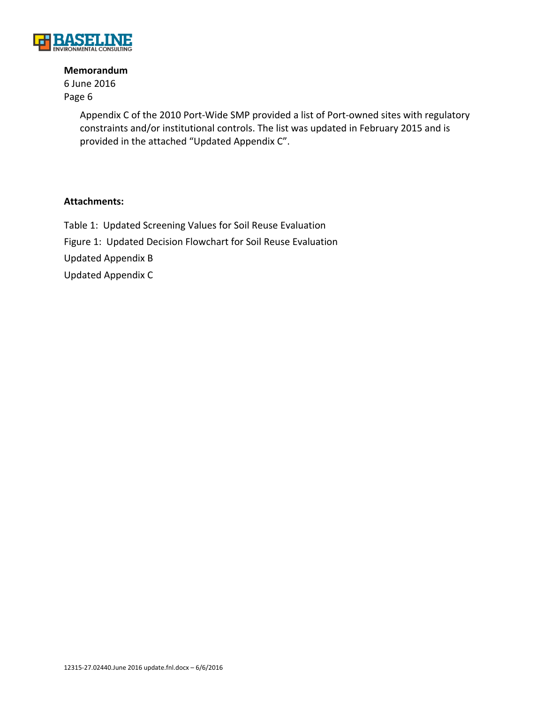

6 June 2016 Page 6

> Appendix C of the 2010 Port‐Wide SMP provided a list of Port‐owned sites with regulatory constraints and/or institutional controls. The list was updated in February 2015 and is provided in the attached "Updated Appendix C".

#### **Attachments:**

Table 1: Updated Screening Values for Soil Reuse Evaluation Figure 1: Updated Decision Flowchart for Soil Reuse Evaluation Updated Appendix B Updated Appendix C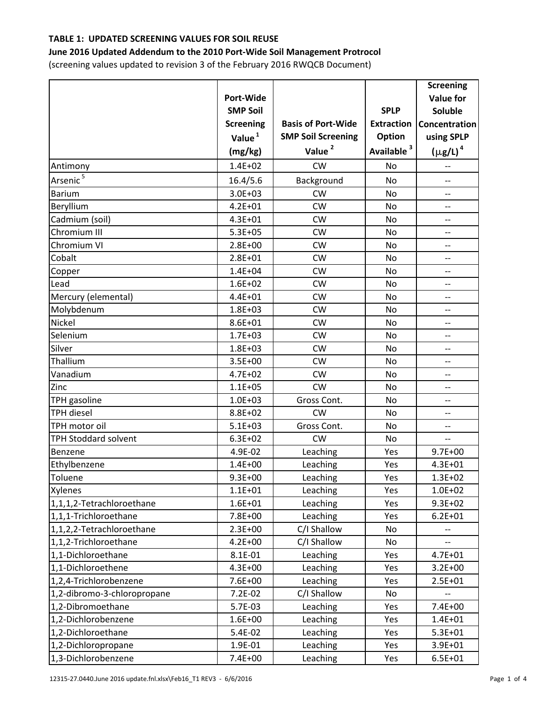#### **June 2016 Updated Addendum to the 2010 Port‐Wide Soil Management Protrocol**

(screening values updated to revision 3 of the February 2016 RWQCB Document)

|                             |                    |                           |                        | <b>Screening</b>         |
|-----------------------------|--------------------|---------------------------|------------------------|--------------------------|
|                             | Port-Wide          |                           |                        | <b>Value for</b>         |
|                             | <b>SMP Soil</b>    |                           | <b>SPLP</b>            | Soluble                  |
|                             | <b>Screening</b>   | <b>Basis of Port-Wide</b> | <b>Extraction</b>      | Concentration            |
|                             | Value <sup>1</sup> | <b>SMP Soil Screening</b> | Option                 | using SPLP               |
|                             | (mg/kg)            | Value <sup>2</sup>        | Available <sup>3</sup> | $(\mu$ g/L) <sup>4</sup> |
| Antimony                    | $1.4E + 02$        | <b>CW</b>                 | No                     | --                       |
| Arsenic <sup>5</sup>        | 16.4/5.6           | Background                | No                     | --                       |
| <b>Barium</b>               | $3.0E + 03$        | <b>CW</b>                 | No                     | $\overline{\phantom{0}}$ |
| Beryllium                   | $4.2E + 01$        | <b>CW</b>                 | <b>No</b>              | $\overline{\phantom{a}}$ |
| Cadmium (soil)              | $4.3E + 01$        | CW                        | <b>No</b>              | --                       |
| Chromium III                | $5.3E + 05$        | <b>CW</b>                 | No                     | $\overline{\phantom{a}}$ |
| Chromium VI                 | $2.8E + 00$        | <b>CW</b>                 | No                     | $\overline{\phantom{0}}$ |
| Cobalt                      | $2.8E + 01$        | <b>CW</b>                 | <b>No</b>              | $\overline{\phantom{a}}$ |
| Copper                      | $1.4E + 04$        | <b>CW</b>                 | No                     | --                       |
| Lead                        | $1.6E + 02$        | CW                        | <b>No</b>              | $\overline{\phantom{a}}$ |
| Mercury (elemental)         | $4.4E + 01$        | <b>CW</b>                 | No                     | $\overline{\phantom{a}}$ |
| Molybdenum                  | $1.8E + 03$        | <b>CW</b>                 | <b>No</b>              | --                       |
| Nickel                      | 8.6E+01            | <b>CW</b>                 | No                     | --                       |
| Selenium                    | $1.7E + 03$        | <b>CW</b>                 | <b>No</b>              | --                       |
| Silver                      | $1.8E + 03$        | CW                        | <b>No</b>              | $-$                      |
| Thallium                    | $3.5E + 00$        | <b>CW</b>                 | <b>No</b>              | $-$                      |
| Vanadium                    | $4.7E + 02$        | <b>CW</b>                 | <b>No</b>              | --                       |
| Zinc                        | $1.1E + 05$        | <b>CW</b>                 | No                     | --                       |
| TPH gasoline                | $1.0E + 03$        | Gross Cont.               | No                     | $\overline{\phantom{0}}$ |
| <b>TPH diesel</b>           | 8.8E+02            | <b>CW</b>                 | <b>No</b>              | $\overline{a}$           |
| TPH motor oil               | $5.1E + 03$        | Gross Cont.               | <b>No</b>              | $-$                      |
| TPH Stoddard solvent        | $6.3E + 02$        | <b>CW</b>                 | No                     | --                       |
| Benzene                     | 4.9E-02            | Leaching                  | Yes                    | $9.7E + 00$              |
| Ethylbenzene                | $1.4E + 00$        | Leaching                  | Yes                    | $4.3E + 01$              |
| Toluene                     | $9.3E + 00$        | Leaching                  | Yes                    | $1.3E + 02$              |
| Xylenes                     | $1.1E + 01$        | Leaching                  | Yes                    | $1.0E + 02$              |
| 1,1,1,2-Tetrachloroethane   | $1.6E + 01$        | Leaching                  | Yes                    | $9.3E + 02$              |
| 1,1,1-Trichloroethane       | 7.8E+00            | Leaching                  | Yes                    | $6.2E + 01$              |
| 1,1,2,2-Tetrachloroethane   | $2.3E + 00$        | C/I Shallow               | No                     |                          |
| 1,1,2-Trichloroethane       | $4.2E + 00$        | C/I Shallow               | No                     |                          |
| 1,1-Dichloroethane          | 8.1E-01            | Leaching                  | Yes                    | $4.7E + 01$              |
| 1,1-Dichloroethene          | $4.3E + 00$        | Leaching                  | Yes                    | $3.2E + 00$              |
| 1,2,4-Trichlorobenzene      | 7.6E+00            | Leaching                  | Yes                    | $2.5E + 01$              |
| 1,2-dibromo-3-chloropropane | $7.2E-02$          | C/I Shallow               | No                     |                          |
| 1,2-Dibromoethane           | 5.7E-03            | Leaching                  | Yes                    | $7.4E + 00$              |
| 1,2-Dichlorobenzene         | $1.6E + 00$        | Leaching                  | Yes                    | $1.4E + 01$              |
| 1,2-Dichloroethane          | 5.4E-02            | Leaching                  | Yes                    | $5.3E + 01$              |
| 1,2-Dichloropropane         | 1.9E-01            | Leaching                  | Yes                    | 3.9E+01                  |
| 1,3-Dichlorobenzene         | 7.4E+00            | Leaching                  | Yes                    | $6.5E + 01$              |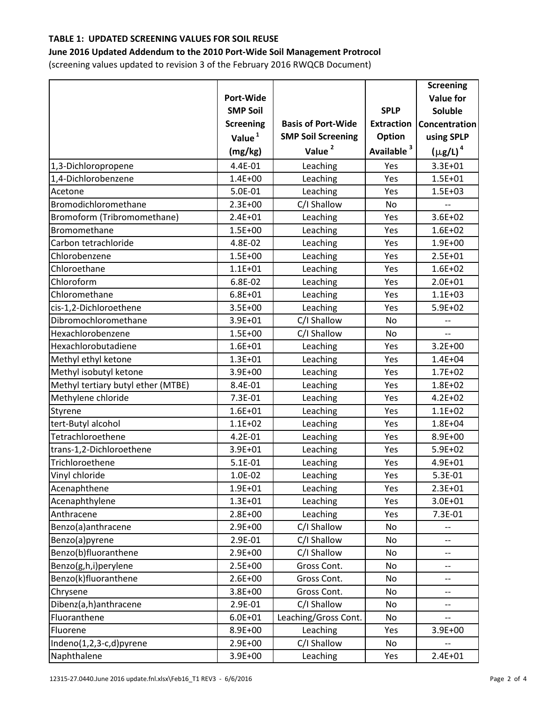#### **June 2016 Updated Addendum to the 2010 Port‐Wide Soil Management Protrocol**

(screening values updated to revision 3 of the February 2016 RWQCB Document)

|                                    |                    |                           |                        | <b>Screening</b>         |
|------------------------------------|--------------------|---------------------------|------------------------|--------------------------|
|                                    | <b>Port-Wide</b>   |                           |                        | <b>Value for</b>         |
|                                    | <b>SMP Soil</b>    |                           | <b>SPLP</b>            | Soluble                  |
|                                    | <b>Screening</b>   | <b>Basis of Port-Wide</b> | <b>Extraction</b>      | <b>Concentration</b>     |
|                                    | Value <sup>1</sup> | <b>SMP Soil Screening</b> | Option                 | using SPLP               |
|                                    | (mg/kg)            | Value <sup>2</sup>        | Available <sup>3</sup> | $(\mu$ g/L) <sup>4</sup> |
| 1,3-Dichloropropene                | 4.4E-01            | Leaching                  | Yes                    | 3.3E+01                  |
| 1,4-Dichlorobenzene                | $1.4E + 00$        | Leaching                  | Yes                    | $1.5E + 01$              |
| Acetone                            | 5.0E-01            | Leaching                  | Yes                    | $1.5E + 03$              |
| Bromodichloromethane               | $2.3E + 00$        | C/I Shallow               | No                     |                          |
| Bromoform (Tribromomethane)        | $2.4E + 01$        | Leaching                  | Yes                    | $3.6E + 02$              |
| Bromomethane                       | $1.5E + 00$        | Leaching                  | Yes                    | $1.6E + 02$              |
| Carbon tetrachloride               | 4.8E-02            | Leaching                  | Yes                    | 1.9E+00                  |
| Chlorobenzene                      | $1.5E + 00$        | Leaching                  | Yes                    | $2.5E + 01$              |
| Chloroethane                       | $1.1E + 01$        | Leaching                  | Yes                    | $1.6E + 02$              |
| Chloroform                         | 6.8E-02            | Leaching                  | Yes                    | $2.0E + 01$              |
| Chloromethane                      | $6.8E + 01$        | Leaching                  | Yes                    | $1.1E + 03$              |
| cis-1,2-Dichloroethene             | $3.5E + 00$        | Leaching                  | Yes                    | $5.9E + 02$              |
| Dibromochloromethane               | 3.9E+01            | C/I Shallow               | <b>No</b>              |                          |
| Hexachlorobenzene                  | $1.5E + 00$        | C/I Shallow               | No                     |                          |
| Hexachlorobutadiene                | $1.6E + 01$        | Leaching                  | Yes                    | $3.2E + 00$              |
| Methyl ethyl ketone                | $1.3E + 01$        | Leaching                  | Yes                    | $1.4E + 04$              |
| Methyl isobutyl ketone             | 3.9E+00            | Leaching                  | Yes                    | $1.7E + 02$              |
| Methyl tertiary butyl ether (MTBE) | 8.4E-01            | Leaching                  | Yes                    | $1.8E + 02$              |
| Methylene chloride                 | 7.3E-01            | Leaching                  | Yes                    | $4.2E + 02$              |
| Styrene                            | $1.6E + 01$        | Leaching                  | Yes                    | $1.1E + 02$              |
| tert-Butyl alcohol                 | $1.1E + 02$        | Leaching                  | Yes                    | $1.8E + 04$              |
| Tetrachloroethene                  | 4.2E-01            | Leaching                  | Yes                    | 8.9E+00                  |
| trans-1,2-Dichloroethene           | 3.9E+01            | Leaching                  | Yes                    | $5.9E + 02$              |
| Trichloroethene                    | 5.1E-01            | Leaching                  | Yes                    | 4.9E+01                  |
| Vinyl chloride                     | 1.0E-02            | Leaching                  | Yes                    | 5.3E-01                  |
| Acenaphthene                       | $1.9E + 01$        | Leaching                  | Yes                    | $2.3E + 01$              |
| Acenaphthylene                     | $1.3E + 01$        | Leaching                  | Yes                    | $3.0E + 01$              |
| Anthracene                         | 2.8E+00            | Leaching                  | Yes                    | 7.3E-01                  |
| Benzo(a)anthracene                 | 2.9E+00            | C/I Shallow               | No                     |                          |
| Benzo(a)pyrene                     | 2.9E-01            | C/I Shallow               | No                     | --                       |
| Benzo(b)fluoranthene               | 2.9E+00            | C/I Shallow               | No                     | --                       |
| Benzo(g,h,i)perylene               | 2.5E+00            | Gross Cont.               | No                     | --                       |
| Benzo(k)fluoranthene               | $2.6E + 00$        | Gross Cont.               | No                     | --                       |
| Chrysene                           | 3.8E+00            | Gross Cont.               | No                     | --                       |
| Dibenz(a,h)anthracene              | 2.9E-01            | C/I Shallow               | No                     | --                       |
| Fluoranthene                       | $6.0E + 01$        | Leaching/Gross Cont.      | No                     |                          |
| Fluorene                           | 8.9E+00            | Leaching                  | Yes                    | $3.9E + 00$              |
| Indeno(1,2,3-c,d)pyrene            | 2.9E+00            | C/I Shallow               | No                     |                          |
| Naphthalene                        | 3.9E+00            | Leaching                  | Yes                    | $2.4E + 01$              |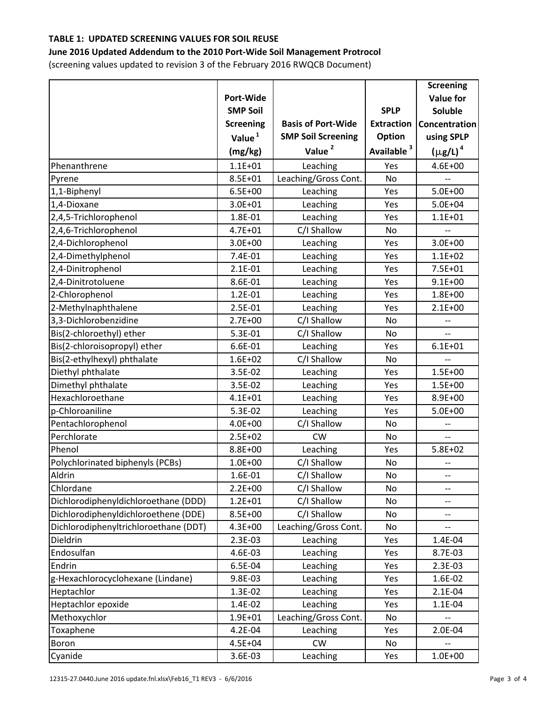#### **June 2016 Updated Addendum to the 2010 Port‐Wide Soil Management Protrocol**

(screening values updated to revision 3 of the February 2016 RWQCB Document)

|                                       |                    |                           |                        | <b>Screening</b>         |
|---------------------------------------|--------------------|---------------------------|------------------------|--------------------------|
|                                       | Port-Wide          |                           |                        | <b>Value for</b>         |
|                                       | <b>SMP Soil</b>    |                           | <b>SPLP</b>            | Soluble                  |
|                                       | <b>Screening</b>   | <b>Basis of Port-Wide</b> | <b>Extraction</b>      | Concentration            |
|                                       | Value <sup>1</sup> | <b>SMP Soil Screening</b> | Option                 | using SPLP               |
|                                       | (mg/kg)            | Value <sup>2</sup>        | Available <sup>3</sup> | $(\mu$ g/L) <sup>4</sup> |
| Phenanthrene                          | $1.1E + 01$        | Leaching                  | Yes                    | $4.6E + 00$              |
| Pyrene                                | 8.5E+01            | Leaching/Gross Cont.      | <b>No</b>              |                          |
| 1,1-Biphenyl                          | $6.5E + 00$        | Leaching                  | Yes                    | $5.0E + 00$              |
| 1,4-Dioxane                           | $3.0E + 01$        | Leaching                  | Yes                    | $5.0E + 04$              |
| 2,4,5-Trichlorophenol                 | 1.8E-01            | Leaching                  | Yes                    | $1.1E + 01$              |
| 2,4,6-Trichlorophenol                 | $4.7E + 01$        | C/I Shallow               | No                     |                          |
| 2,4-Dichlorophenol                    | $3.0E + 00$        | Leaching                  | Yes                    | $3.0E + 00$              |
| 2,4-Dimethylphenol                    | 7.4E-01            | Leaching                  | Yes                    | $1.1E + 02$              |
| 2,4-Dinitrophenol                     | $2.1E-01$          | Leaching                  | Yes                    | $7.5E + 01$              |
| 2,4-Dinitrotoluene                    | 8.6E-01            | Leaching                  | Yes                    | $9.1E + 00$              |
| 2-Chlorophenol                        | 1.2E-01            | Leaching                  | Yes                    | $1.8E + 00$              |
| 2-Methylnaphthalene                   | 2.5E-01            | Leaching                  | Yes                    | $2.1E + 00$              |
| 3,3-Dichlorobenzidine                 | $2.7E + 00$        | C/I Shallow               | No                     | --                       |
| Bis(2-chloroethyl) ether              | 5.3E-01            | C/I Shallow               | No                     | $\overline{\phantom{0}}$ |
| Bis(2-chloroisopropyl) ether          | 6.6E-01            | Leaching                  | Yes                    | $6.1E + 01$              |
| Bis(2-ethylhexyl) phthalate           | $1.6E + 02$        | C/I Shallow               | <b>No</b>              | --                       |
| Diethyl phthalate                     | 3.5E-02            | Leaching                  | Yes                    | $1.5E + 00$              |
| Dimethyl phthalate                    | 3.5E-02            | Leaching                  | Yes                    | $1.5E + 00$              |
| Hexachloroethane                      | $4.1E + 01$        | Leaching                  | Yes                    | 8.9E+00                  |
| p-Chloroaniline                       | 5.3E-02            | Leaching                  | Yes                    | $5.0E + 00$              |
| Pentachlorophenol                     | $4.0E + 00$        | C/I Shallow               | No                     | $\overline{\phantom{a}}$ |
| Perchlorate                           | $2.5E + 02$        | <b>CW</b>                 | No                     | $\overline{a}$           |
| Phenol                                | 8.8E+00            | Leaching                  | Yes                    | $5.8E + 02$              |
| Polychlorinated biphenyls (PCBs)      | $1.0E + 00$        | C/I Shallow               | No                     |                          |
| Aldrin                                | 1.6E-01            | C/I Shallow               | No                     | $\qquad \qquad -$        |
| Chlordane                             | $2.2E + 00$        | C/I Shallow               | No                     | $\qquad \qquad -$        |
| Dichlorodiphenyldichloroethane (DDD)  | $1.2E + 01$        | C/I Shallow               | No                     | --                       |
| Dichlorodiphenyldichloroethene (DDE)  | 8.5E+00            | C/I Shallow               | No                     | --                       |
| Dichlorodiphenyltrichloroethane (DDT) | 4.3E+00            | Leaching/Gross Cont.      | No                     | $\overline{a}$           |
| Dieldrin                              | 2.3E-03            | Leaching                  | Yes                    | 1.4E-04                  |
| Endosulfan                            | 4.6E-03            | Leaching                  | Yes                    | 8.7E-03                  |
| Endrin                                | 6.5E-04            | Leaching                  | Yes                    | 2.3E-03                  |
| g-Hexachlorocyclohexane (Lindane)     | 9.8E-03            | Leaching                  | Yes                    | 1.6E-02                  |
| Heptachlor                            | 1.3E-02            | Leaching                  | Yes                    | $2.1E-04$                |
| Heptachlor epoxide                    | 1.4E-02            | Leaching                  | Yes                    | 1.1E-04                  |
| Methoxychlor                          | $1.9E + 01$        | Leaching/Gross Cont.      | No                     |                          |
| Toxaphene                             | 4.2E-04            | Leaching                  | Yes                    | 2.0E-04                  |
| Boron                                 | 4.5E+04            | CW                        | No                     |                          |
| Cyanide                               | 3.6E-03            | Leaching                  | Yes                    | $1.0E + 00$              |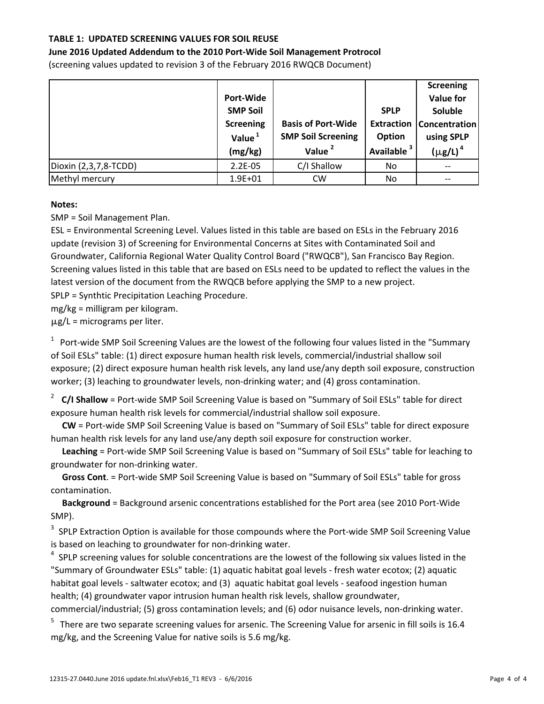#### **June 2016 Updated Addendum to the 2010 Port‐Wide Soil Management Protrocol**

(screening values updated to revision 3 of the February 2016 RWQCB Document)

|                       |                    |                           |                        | <b>Screening</b>                  |
|-----------------------|--------------------|---------------------------|------------------------|-----------------------------------|
|                       | Port-Wide          |                           |                        | <b>Value for</b>                  |
|                       | <b>SMP Soil</b>    |                           | <b>SPLP</b>            | Soluble                           |
|                       | <b>Screening</b>   | <b>Basis of Port-Wide</b> |                        | <b>Extraction   Concentration</b> |
|                       | Value <sup>1</sup> | <b>SMP Soil Screening</b> | Option                 | using SPLP                        |
|                       | (mg/kg)            | Value <sup>2</sup>        | Available <sup>3</sup> | $(\mu$ g/L) <sup>4</sup>          |
| Dioxin (2,3,7,8-TCDD) | $2.2E-05$          | C/I Shallow               | No.                    |                                   |
| Methyl mercury        | $1.9E + 01$        | <b>CW</b>                 | No.                    |                                   |

#### **Notes:**

SMP = Soil Management Plan.

ESL = Environmental Screening Level. Values listed in this table are based on ESLs in the February 2016 update (revision 3) of Screening for Environmental Concerns at Sites with Contaminated Soil and Groundwater, California Regional Water Quality Control Board ("RWQCB"), San Francisco Bay Region. Screening values listed in this table that are based on ESLs need to be updated to reflect the values in the latest version of the document from the RWQCB before applying the SMP to a new project.

SPLP = Synthtic Precipitation Leaching Procedure.

mg/kg = milligram per kilogram.

 $\mu$ g/L = micrograms per liter.

 $1$  Port-wide SMP Soil Screening Values are the lowest of the following four values listed in the "Summary of Soil ESLs" table: (1) direct exposure human health risk levels, commercial/industrial shallow soil exposure; (2) direct exposure human health risk levels, any land use/any depth soil exposure, construction worker; (3) leaching to groundwater levels, non-drinking water; and (4) gross contamination.

<sup>2</sup> **C/I Shallow** = Port‐wide SMP Soil Screening Value is based on "Summary of Soil ESLs" table for direct exposure human health risk levels for commercial/industrial shallow soil exposure.

 **CW** = Port‐wide SMP Soil Screening Value is based on "Summary of Soil ESLs" table for direct exposure human health risk levels for any land use/any depth soil exposure for construction worker.

 **Leaching** = Port‐wide SMP Soil Screening Value is based on "Summary of Soil ESLs" table for leaching to groundwater for non‐drinking water.

 **Gross Cont**. = Port‐wide SMP Soil Screening Value is based on "Summary of Soil ESLs" table for gross contamination.

 **Background** = Background arsenic concentrations established for the Port area (see 2010 Port‐Wide SMP).

<sup>3</sup> SPLP Extraction Option is available for those compounds where the Port-wide SMP Soil Screening Value is based on leaching to groundwater for non-drinking water.

 $4$  SPLP screening values for soluble concentrations are the lowest of the following six values listed in the "Summary of Groundwater ESLs" table: (1) aquatic habitat goal levels ‐ fresh water ecotox; (2) aquatic habitat goal levels - saltwater ecotox; and (3) aquatic habitat goal levels - seafood ingestion human health; (4) groundwater vapor intrusion human health risk levels, shallow groundwater,

commercial/industrial; (5) gross contamination levels; and (6) odor nuisance levels, non‐drinking water.

 $5$  There are two separate screening values for arsenic. The Screening Value for arsenic in fill soils is 16.4 mg/kg, and the Screening Value for native soils is 5.6 mg/kg.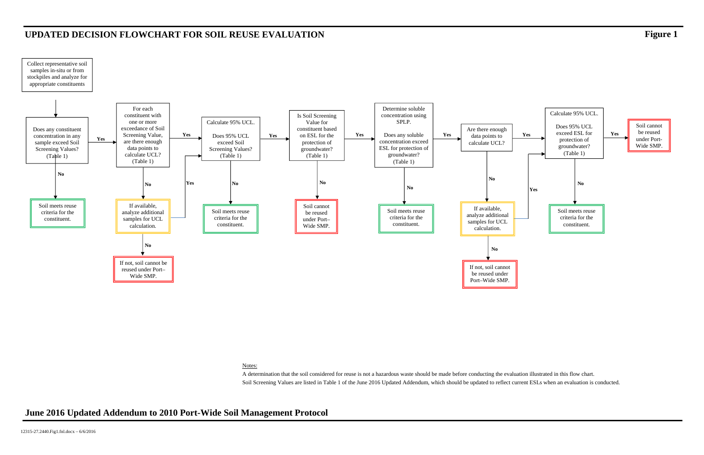A determination that the soil considered for reuse is not a hazardous waste should be made before conducting the evaluation illustrated in this flow chart. Soil Screening Values are listed in Table 1 of the June 2016 Updated Addendum, which should be updated to reflect current ESLs when an evaluation is conducted.



Notes:

# **UPDATED DECISION FLOWCHART FOR SOIL REUSE EVALUATION Figure 1**

## **June 2016 Updated Addendum to 2010 Port-Wide Soil Management Protocol**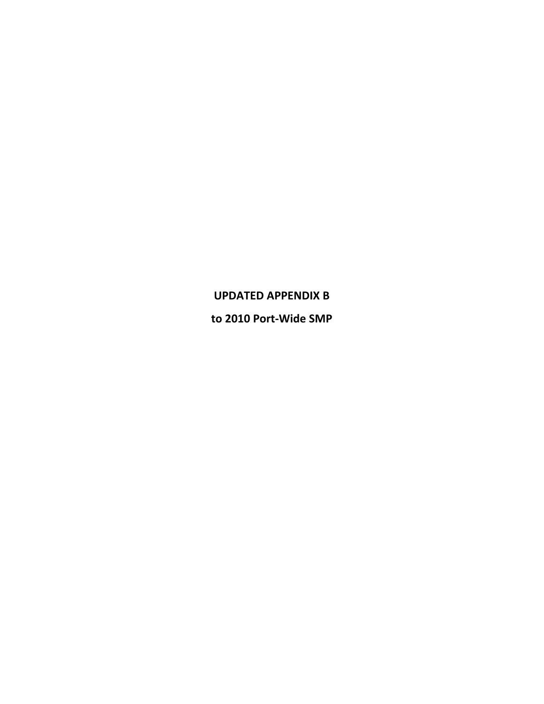# **UPDATED APPENDIX B**

**to 2010 Port‐Wide SMP**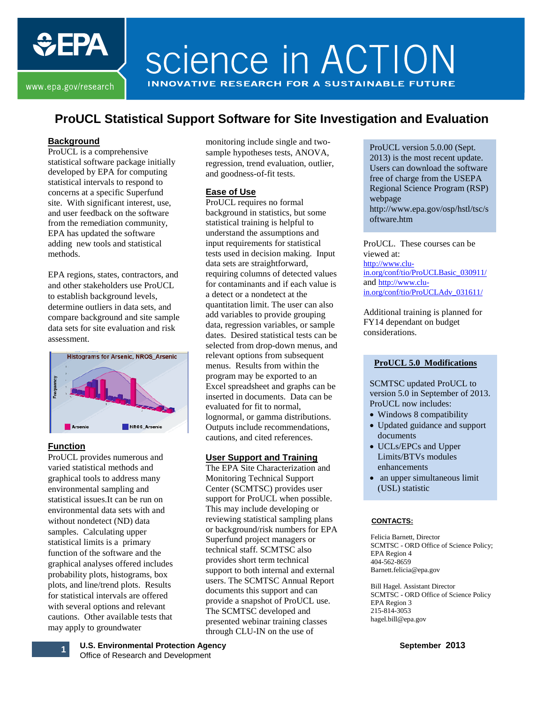

www.epa.gov/research

**EPA** 

## **ProUCL Statistical Support Software for Site Investigation and Evaluation**

#### **Background**

ProUCL is a comprehensive statistical software package initially developed by EPA for computing statistical intervals to respond to concerns at a specific Superfund site. With significant interest, use, and user feedback on the software from the remediation community, EPA has updated the software adding new tools and statistical methods.

EPA regions, states, contractors, and and other stakeholders use ProUCL to establish background levels, determine outliers in data sets, and compare background and site sample data sets for site evaluation and risk assessment.



#### **Function**

ProUCL provides numerous and varied statistical methods and graphical tools to address many environmental sampling and statistical issues.It can be run on environmental data sets with and without nondetect (ND) data samples. Calculating upper statistical limits is a primary function of the software and the graphical analyses offered includes [probability plots,](http://www.itrcweb.org/GSM_TechRegDraft/GWMC-HTML5/Content/GW%20Stats/5%20Methods%20in%20indiv%20Topics/5%201%205%20Probability%20Plots.htm) [histograms,](http://www.itrcweb.org/GSM_TechRegDraft/GWMC-HTML5/Content/GW%20Stats/5%20Methods%20in%20indiv%20Topics/5%201%204%20Histograms.htm) [box](http://www.itrcweb.org/GSM_TechRegDraft/GWMC-HTML5/Content/GW%20Stats/5%20Methods%20in%20indiv%20Topics/5%201%202%20Box%20Plots.htm)  [plots,](http://www.itrcweb.org/GSM_TechRegDraft/GWMC-HTML5/Content/GW%20Stats/5%20Methods%20in%20indiv%20Topics/5%201%202%20Box%20Plots.htm) and line/trend plots. Results for statistical intervals are offered with several options and relevant cautions. Other available tests that may apply to groundwater

monitoring include single and twosample hypotheses tests, ANOVA, regression, trend evaluation, outlier, and goodness-of-fit tests.

#### **Ease of Use**

ProUCL requires no formal background in statistics, but some statistical training is helpful to understand the assumptions and input requirements for statistical tests used in decision making. Input data sets are straightforward, requiring columns of detected values for contaminants and if each value is a detect or a nondetect at the quantitation limit. The user can also add variables to provide grouping data, regression variables, or sample dates. Desired statistical tests can be selected from drop-down menus, and relevant options from subsequent menus. Results from within the program may be exported to an Excel spreadsheet and graphs can be inserted in documents. Data can be evaluated for fit to normal, lognormal, or gamma distributions. Outputs include recommendations, cautions, and cited references.

#### **User Support and Training**

The EPA Site Characterization and Monitoring Technical Support Center (SCMTSC) provides user support for ProUCL when possible. This may include developing or reviewing statistical sampling plans or background/risk numbers for EPA Superfund project managers or technical staff. SCMTSC also provides short term technical support to both internal and external users. The SCMTSC Annual Report documents this support and can provide a snapshot of ProUCL use. The SCMTSC developed and presented webinar training classes through CLU-IN on the use of

ProUCL version 5.0.00 (Sept. 2013) is the most recent update. Users can download the software free of charge from the USEPA Regional Science Program (RSP) webpage [http://www.epa.gov/osp/hstl/tsc/s](http://www.epa.gov/osp/hstl/tsc/software.htm) [oftware.htm](http://www.epa.gov/osp/hstl/tsc/software.htm)

ProUCL. These courses can be viewed at: [http://www.clu](http://www.clu-in.org/conf/tio/ProUCLBasic_030911/)[in.org/conf/tio/ProUCLBasic\\_030911/](http://www.clu-in.org/conf/tio/ProUCLBasic_030911/) and [http://www.clu](http://www.clu-in.org/conf/tio/ProUCLAdv_031611/)[in.org/conf/tio/ProUCLAdv\\_031611/](http://www.clu-in.org/conf/tio/ProUCLAdv_031611/)

Additional training is planned for FY14 dependant on budget considerations.

#### **ProUCL 5.0 Modifications**

SCMTSC updated ProUCL to version 5.0 in September of 2013. ProUCL now includes:

- Windows 8 compatibility
- Updated guidance and support documents
- UCLs/EPCs and Upper Limits/BTVs modules enhancements
- an upper simultaneous limit (USL) statistic

#### **CONTACTS:**

Felicia Barnett, Director SCMTSC - ORD Office of Science Policy; EPA Region 4 404-562-8659 Barnett.felicia@epa.gov

Bill Hagel. Assistant Director SCMTSC - ORD Office of Science Policy EPA Region 3 215-814-3053 hagel.bill@epa.gov

**U.S. Environmental Protection Agency September 2013 1 O.S. Environmental Protection Age**<br>Office of Research and Development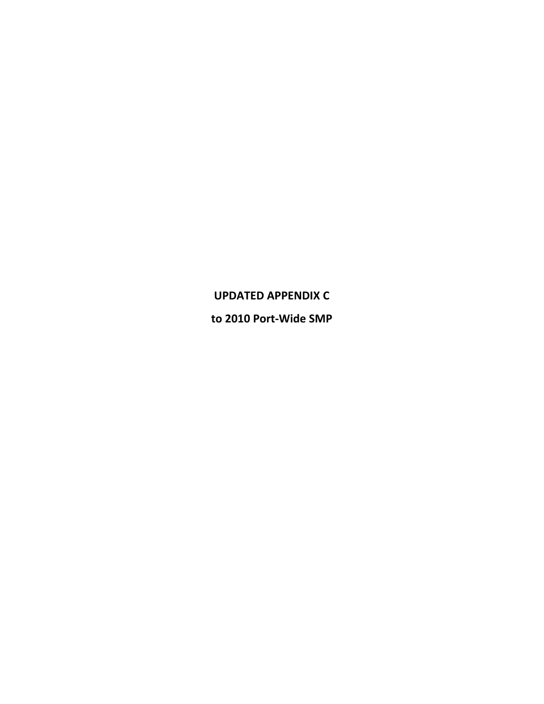# **UPDATED APPENDIX C**

**to 2010 Port‐Wide SMP**